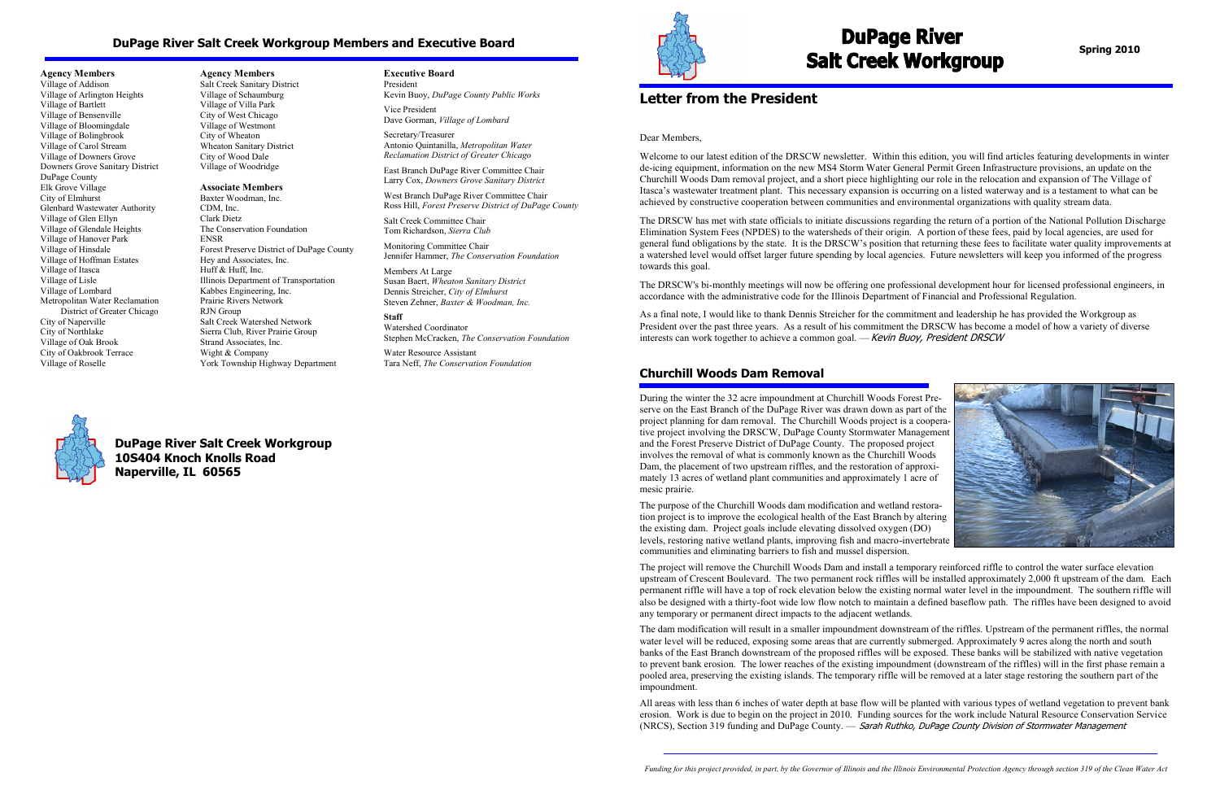# **Letter from the President**

Dear Members,

Welcome to our latest edition of the DRSCW newsletter. Within this edition, you will find articles featuring developments in winter de-icing equipment, information on the new MS4 Storm Water General Permit Green Infrastructure provisions, an update on the Churchill Woods Dam removal project, and a short piece highlighting our role in the relocation and expansion of The Village of Itasca's wastewater treatment plant. This necessary expansion is occurring on a listed waterway and is a testament to what can be achieved by constructive cooperation between communities and environmental organizations with quality stream data.

As a final note, I would like to thank Dennis Streicher for the commitment and leadership he has provided the Workgroup as President over the past three years. As a result of his commitment the DRSCW has become a model of how a variety of diverse interests can work together to achieve a common goal. — Kevin Buoy, President DRSCW

The DRSCW has met with state officials to initiate discussions regarding the return of a portion of the National Pollution Discharge Elimination System Fees (NPDES) to the watersheds of their origin. A portion of these fees, paid by local agencies, are used for general fund obligations by the state. It is the DRSCW's position that returning these fees to facilitate water quality improvements at a watershed level would offset larger future spending by local agencies. Future newsletters will keep you informed of the progress towards this goal.

The DRSCW's bi-monthly meetings will now be offering one professional development hour for licensed professional engineers, in accordance with the administrative code for the Illinois Department of Financial and Professional Regulation.

**Agency Members** Village of Addison Village of Arlington Heights Village of Bartlett Village of Bensenville Village of Bloomingdale Village of Bolingbrook Village of Carol Stream Village of Downers Grove Downers Grove Sanitary District DuPage County Elk Grove Village City of Elmhurst Glenbard Wastewater Authority Village of Glen Ellyn Village of Glendale Heights Village of Hanover Park Village of Hinsdale Village of Hoffman Estates Village of Itasca Village of Lisle Village of Lombard Metropolitan Water Reclamation District of Greater Chicago City of Naperville City of Northlake Village of Oak Brook City of Oakbrook Terrace Village of Roselle

**Agency Members** Salt Creek Sanitary District Village of Schaumburg Village of Villa Park City of West Chicago Village of Westmont City of Wheaton Wheaton Sanitary District City of Wood Dale Village of Woodridge

#### **Associate Members**

Baxter Woodman, Inc. CDM, Inc. Clark Dietz The Conservation Foundation ENSR Forest Preserve District of DuPage County Hey and Associates, Inc. Huff & Huff, Inc. Illinois Department of Transportation Kabbes Engineering, Inc. Prairie Rivers Network RJN Group Salt Creek Watershed Network Sierra Club, River Prairie Group Strand Associates, Inc. Wight & Company York Township Highway Department

> All areas with less than 6 inches of water depth at base flow will be planted with various types of wetland vegetation to prevent bank erosion. Work is due to begin on the project in 2010. Funding sources for the work include Natural Resource Conservation Service (NRCS), Section 319 funding and DuPage County. — Sarah Ruthko, DuPage County Division of Stormwater Management

#### **Executive Board**

President Kevin Buoy, *DuPage County Public Works* Vice President

Dave Gorman, *Village of Lombard* Secretary/Treasurer Antonio Quintanilla, *Metropolitan Water Reclamation District of Greater Chicago*

East Branch DuPage River Committee Chair Larry Cox, *Downers Grove Sanitary District* 

West Branch DuPage River Committee Chair Ross Hill, *Forest Preserve District of DuPage County* 

Salt Creek Committee Chair Tom Richardson, *Sierra Club*

Monitoring Committee Chair Jennifer Hammer, *The Conservation Foundation*

Members At Large Susan Baert, *Wheaton Sanitary District* Dennis Streicher, *City of Elmhurst* Steven Zehner, *Baxter & Woodman, Inc.*

#### **Staff**

Watershed Coordinator Stephen McCracken, *The Conservation Foundation*

Water Resource Assistant Tara Neff, *The Conservation Foundation*



# **Churchill Woods Dam Removal**

During the winter the 32 acre impoundment at Churchill Woods Forest Preserve on the East Branch of the DuPage River was drawn down as part of the project planning for dam removal. The Churchill Woods project is a cooperative project involving the DRSCW, DuPage County Stormwater Management and the Forest Preserve District of DuPage County. The proposed project involves the removal of what is commonly known as the Churchill Woods Dam, the placement of two upstream riffles, and the restoration of approximately 13 acres of wetland plant communities and approximately 1 acre of mesic prairie.

The purpose of the Churchill Woods dam modification and wetland restoration project is to improve the ecological health of the East Branch by altering the existing dam. Project goals include elevating dissolved oxygen (DO) levels, restoring native wetland plants, improving fish and macro-invertebrate communities and eliminating barriers to fish and mussel dispersion.

The project will remove the Churchill Woods Dam and install a temporary reinforced riffle to control the water surface elevation upstream of Crescent Boulevard. The two permanent rock riffles will be installed approximately 2,000 ft upstream of the dam. Each permanent riffle will have a top of rock elevation below the existing normal water level in the impoundment. The southern riffle will also be designed with a thirty-foot wide low flow notch to maintain a defined baseflow path. The riffles have been designed to avoid any temporary or permanent direct impacts to the adjacent wetlands.

The dam modification will result in a smaller impoundment downstream of the riffles. Upstream of the permanent riffles, the normal water level will be reduced, exposing some areas that are currently submerged. Approximately 9 acres along the north and south banks of the East Branch downstream of the proposed riffles will be exposed. These banks will be stabilized with native vegetation to prevent bank erosion. The lower reaches of the existing impoundment (downstream of the riffles) will in the first phase remain a pooled area, preserving the existing islands. The temporary riffle will be removed at a later stage restoring the southern part of the impoundment.

# **DuPage River Salt Creek Workgroup Members and Executive Board**

**DuPage River Salt Creek Workgroup 10S404 Knoch Knolls Road Naperville, IL 60565**



# **DuPage River Salt Creek Workgroup**